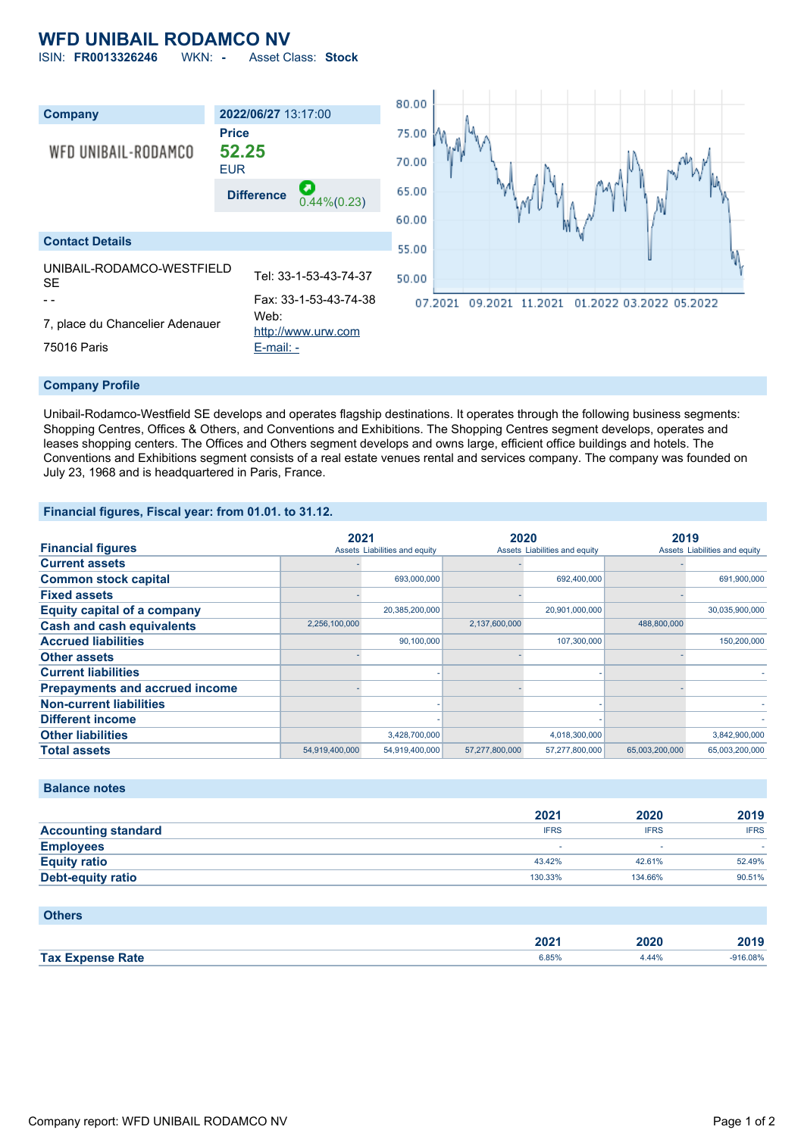## **WFD UNIBAIL RODAMCO NV**

ISIN: **FR0013326246** WKN: **-** Asset Class: **Stock**



#### **Company Profile**

Unibail-Rodamco-Westfield SE develops and operates flagship destinations. It operates through the following business segments: Shopping Centres, Offices & Others, and Conventions and Exhibitions. The Shopping Centres segment develops, operates and leases shopping centers. The Offices and Others segment develops and owns large, efficient office buildings and hotels. The Conventions and Exhibitions segment consists of a real estate venues rental and services company. The company was founded on July 23, 1968 and is headquartered in Paris, France.

### **Financial figures, Fiscal year: from 01.01. to 31.12.**

|                                       |                | 2021                          |                | 2020                          |                | 2019                          |  |
|---------------------------------------|----------------|-------------------------------|----------------|-------------------------------|----------------|-------------------------------|--|
| <b>Financial figures</b>              |                | Assets Liabilities and equity |                | Assets Liabilities and equity |                | Assets Liabilities and equity |  |
| <b>Current assets</b>                 |                |                               |                |                               |                |                               |  |
| <b>Common stock capital</b>           |                | 693,000,000                   |                | 692,400,000                   |                | 691,900,000                   |  |
| <b>Fixed assets</b>                   |                |                               |                |                               |                |                               |  |
| <b>Equity capital of a company</b>    |                | 20,385,200,000                |                | 20,901,000,000                |                | 30,035,900,000                |  |
| <b>Cash and cash equivalents</b>      | 2,256,100,000  |                               | 2,137,600,000  |                               | 488,800,000    |                               |  |
| <b>Accrued liabilities</b>            |                | 90,100,000                    |                | 107,300,000                   |                | 150,200,000                   |  |
| <b>Other assets</b>                   |                |                               |                |                               |                |                               |  |
| <b>Current liabilities</b>            |                |                               |                |                               |                |                               |  |
| <b>Prepayments and accrued income</b> |                |                               |                |                               |                |                               |  |
| <b>Non-current liabilities</b>        |                |                               |                |                               |                |                               |  |
| <b>Different income</b>               |                |                               |                |                               |                |                               |  |
| <b>Other liabilities</b>              |                | 3,428,700,000                 |                | 4,018,300,000                 |                | 3,842,900,000                 |  |
| <b>Total assets</b>                   | 54,919,400,000 | 54,919,400,000                | 57,277,800,000 | 57,277,800,000                | 65,003,200,000 | 65,003,200,000                |  |

### **Balance notes**

|                            | 2021        | 2020        | 2019        |
|----------------------------|-------------|-------------|-------------|
| <b>Accounting standard</b> | <b>IFRS</b> | <b>IFRS</b> | <b>IFRS</b> |
| <b>Employees</b>           |             |             |             |
| <b>Equity ratio</b>        | 43.42%      | 42.61%      | 52.49%      |
| <b>Debt-equity ratio</b>   | 130.33%     | 134.66%     | 90.51%      |

| <b>Others</b>           |       |       |            |
|-------------------------|-------|-------|------------|
|                         | 2021  | 2020  | 2019       |
| <b>Tax Expense Rate</b> | 6.85% | 4.44% | $-916.08%$ |